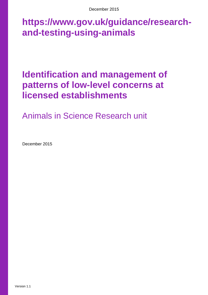December 2015

# **https://www.gov.uk/guidance/researchand-testing-using-animals**

# **Identification and management of patterns of low-level concerns at licensed establishments**

Animals in Science Research unit

December 2015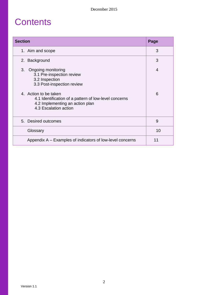### **Contents**

| <b>Section</b>                                                                                                                             | Page |
|--------------------------------------------------------------------------------------------------------------------------------------------|------|
| 1. Aim and scope                                                                                                                           | 3    |
| 2. Background                                                                                                                              | 3    |
| 3.<br>Ongoing monitoring<br>3.1 Pre-inspection review<br>3.2 Inspection<br>3.3 Post-inspection review                                      | 4    |
| 4. Action to be taken<br>4.1 Identification of a pattern of low-level concerns<br>4.2 Implementing an action plan<br>4.3 Escalation action | 6    |
| 5. Desired outcomes                                                                                                                        | 9    |
| Glossary                                                                                                                                   | 10   |
| Appendix A – Examples of indicators of low-level concerns                                                                                  | 11   |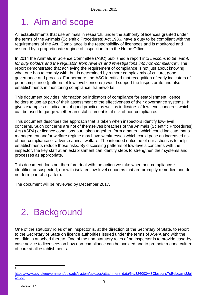# 1. Aim and scope

All establishments that use animals in research, under the authority of licences granted under the terms of the Animals (Scientific Procedures) Act 1986, have a duty to be compliant with the requirements of the Act. Compliance is the responsibility of licensees and is monitored and assured by a proportionate regime of inspection from the Home Office.

In 2014 the Animals in Science Committee (ASC) published a report into *Lessons to be learnt, for duty holders and the regulator, from reviews and investigations into non-compliance<sup>1</sup>* . The report demonstrated that achieving the requirement of compliance is not just about knowing what one has to comply with, but is determined by a more complex mix of culture, good governance and process. Furthermore, the ASC identified that recognition of early indicators of poor compliance (patterns of low level concerns) would support the Inspectorate and also establishments in monitoring compliance frameworks.

This document provides information on indicators of compliance for establishment licence holders to use as part of their assessment of the effectiveness of their governance systems. It gives examples of indicators of good practice as well as indicators of low-level concerns which can be used to gauge whether an establishment is at risk of non-compliance.

This document describes the approach that is taken when inspectors identify low-level concerns. Such concerns are not of themselves breaches of the Animals (Scientific Procedures) Act (ASPA) or licence conditions but, taken together, form a pattern which could indicate that a management and/or welfare regime may have weaknesses which could pose an increased risk of non-compliance or adverse animal welfare. The intended outcome of our actions is to help establishments reduce those risks. By discussing patterns of low-levels concerns with the inspector, the key staff at an establishment can identify steps to strengthen their systems and processes as appropriate.

This document does not therefore deal with the action we take when non-compliance is identified or suspected, nor with isolated low-level concerns that are promptly remedied and do not form part of a pattern.

The document will be reviewed by December 2017.

# 2. Background

One of the statutory roles of an inspector is, at the direction of the Secretary of State, to report to the Secretary of State on licence authorities issued under the terms of ASPA and with the conditions attached thereto. One of the non-statutory roles of an inspector is to provide case-bycase advice to licensees on how non-compliance can be avoided and to promote a good culture of care at all establishments.

 $\overline{a}$ 1

[https://www.gov.uk/government/uploads/system/uploads/attachment\\_data/file/326003/ASClessonsToBeLearnt2Jul](https://www.gov.uk/government/uploads/system/uploads/attachment_data/file/326003/ASClessonsToBeLearnt2Jul14.pdf) [14.pdf](https://www.gov.uk/government/uploads/system/uploads/attachment_data/file/326003/ASClessonsToBeLearnt2Jul14.pdf)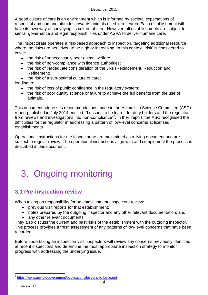#### December 2015

A good culture of care is an environment which is informed by societal expectations of respectful and humane attitudes towards animals used in research. Each establishment will have its own way of conveying its culture of care. However, all establishments are subject to similar governance and legal responsibilities under ASPA to deliver humane care.

The Inspectorate operates a risk-based approach to inspection, targeting additional resource where the risks are perceived to be high or increasing. In this context, 'risk' is considered to cover:

- $\bullet$  the risk of unnecessarily poor animal welfare;
- the risk of non-compliance with licence authorities;
- the risk of inadequate consideration of the 3Rs (Replacement, Reduction and Refinement);
- $\bullet$  the risk of a sub-optimal culture of care;

leading to:

- the risk of loss of public confidence in the regulatory system;
- the risk of poor quality science or failure to achieve the full benefits from the use of animals.

This document addresses recommendations made in the Animals in Science Committee (ASC) report published in July 2014 entitled, "Lessons to be learnt, for duty holders and the regulator, from reviews and investigations into non-compliance"<sup>2</sup>. In their report, the ASC recognised the difficulties for the regulator in addressing a pattern of low-level concerns at licensed establishments.

Operational instructions for the Inspectorate are maintained as a living document and are subject to regular review. The operational instructions align with and complement the processes described in this document.

# 3. Ongoing monitoring

### **3.1 Pre-inspection review**

When taking on responsibility for an establishment, inspectors review:

- previous visit reports for that establishment;
- notes prepared by the outgoing inspector and any other relevant documentation; and,
- any other relevant documents.

They also discuss the current and past risks of the establishment with the outgoing inspector. This process provides a fresh assessment of any patterns of low-level concerns that have been recorded.

Before undertaking an inspection visit, inspectors will review any concerns previously identified at recent inspections and determine the most appropriate inspection strategy to monitor progress with addressing the underlying issue.

 $\overline{a}$ 

<sup>&</sup>lt;sup>2</sup> <https://www.gov.uk/government/publications/lessons-to-be-learnt>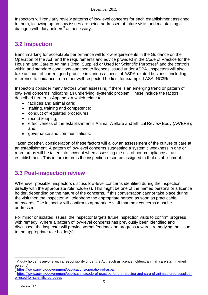Inspectors will regularly review patterns of low-level concerns for each establishment assigned to them, following up on how issues are being addressed at future visits and maintaining a dialogue with duty holders $^3$  as necessary.

### **3.2 Inspection**

Benchmarking for acceptable performance will follow requirements in the Guidance on the Operation of the Act<sup>4</sup> and the requirements and advice provided in the Code of Practice for the Housing and Care of Animals Bred, Supplied or Used for Scientific Purposes<sup>5</sup> and the controls within and standard conditions attached to licences issued under ASPA. Inspectors will also take account of current good practice in various aspects of ASPA-related business, including reference to guidance from other well-respected bodies, for example LASA, NC3Rs.

Inspectors consider many factors when assessing if there is an emerging trend or pattern of low-level concerns indicating an underlying, systemic problem. These include the factors described further in Appendix A which relate to:

- facilities and animal care;  $\bullet$
- staffing, training and competence;  $\bullet$
- conduct of regulated procedures;  $\bullet$
- record keeping;  $\bullet$
- effectiveness of the establishment's Animal Welfare and Ethical Review Body (AWERB);  $\bullet$ and,
- governance and communications.

Taken together, consideration of these factors will allow an assessment of the culture of care at an establishment. A pattern of low-level concerns suggesting a systemic weakness in one or more areas will be taken into account when assessing the risk of non-compliance at an establishment. This in turn informs the inspection resource assigned to that establishment.

### **3.3 Post-inspection review**

Whenever possible, inspectors discuss low-level concerns identified during the inspection directly with the appropriate role holder(s). This might be one of the named persons or a licence holder, depending on the nature of the concerns. If this conversation cannot take place during the visit then the inspector will telephone the appropriate person as soon as practicable afterwards. The inspector will confirm to appropriate staff that their concerns must be addressed.

For minor or isolated issues, the inspector targets future inspection visits to confirm progress with remedy. Where a pattern of low-level concerns has previously been identified and discussed, the inspector will provide verbal feedback on progress towards remedying the issue to the appropriate role holder(s).

 $\overline{a}$ 

 $3$  A duty holder is anyone with a responsibility under the Act (such as licence holders, animal care staff, named persons).

<sup>4</sup> <https://www.gov.uk/government/publications/operation-of-aspa>

<sup>5</sup> [https://www.gov.uk/government/publications/code-of-practice-for-the-housing-and-care-of-animals-bred-supplied](https://www.gov.uk/government/publications/code-of-practice-for-the-housing-and-care-of-animals-bred-supplied-or-used-for-scientific-purposes)[or-used-for-scientific-purposes](https://www.gov.uk/government/publications/code-of-practice-for-the-housing-and-care-of-animals-bred-supplied-or-used-for-scientific-purposes)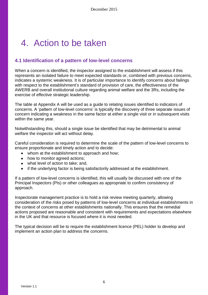# 4. Action to be taken

#### **4.1 Identification of a pattern of low-level concerns**

When a concern is identified, the inspector assigned to the establishment will assess if this represents an isolated failure to meet expected standards or, combined with previous concerns, indicates a systemic weakness. It is of particular importance to identify concerns about failings with respect to the establishment's standard of provision of care, the effectiveness of the AWERB and overall institutional culture regarding animal welfare and the 3Rs, including the exercise of effective strategic leadership.

The table at Appendix A will be used as a guide to relating issues identified to indicators of concerns. A "pattern of low-level concerns" is typically the discovery of three separate issues of concern indicating a weakness in the same factor at either a single visit or in subsequent visits within the same year.

Notwithstanding this, should a single issue be identified that may be detrimental to animal welfare the inspector will act without delay.

Careful consideration is required to determine the scale of the pattern of low-level concerns to ensure proportionate and timely action and to decide:

- whom at the establishment to approach and how:
- how to monitor agreed actions;
- what level of action to take; and,
- if the underlying factor is being satisfactorily addressed at the establishment.

If a pattern of low-level concerns is identified, this will usually be discussed with one of the Principal Inspectors (PIs) or other colleagues as appropriate to confirm consistency of approach.

Inspectorate management practice is to hold a risk review meeting quarterly, allowing consideration of the risks posed by patterns of low-level concerns at individual establishments in the context of concerns at other establishments nationally. This ensures that the remedial actions proposed are reasonable and consistent with requirements and expectations elsewhere in the UK and that resource is focused where it is most needed.

The typical decision will be to require the establishment licence (PEL) holder to develop and implement an action plan to address the concerns.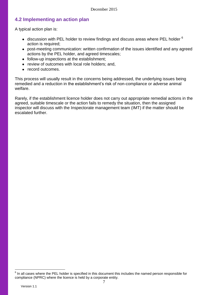#### **4.2 Implementing an action plan**

A typical action plan is:

- $\bullet$  discussion with PEL holder to review findings and discuss areas where PEL holder  $^6$ action is required;
- post-meeting communication: written confirmation of the issues identified and any agreed actions by the PEL holder, and agreed timescales;
- follow-up inspections at the establishment;
- review of outcomes with local role holders; and,
- record outcomes.

This process will usually result in the concerns being addressed, the underlying issues being remedied and a reduction in the establishment's risk of non-compliance or adverse animal welfare.

Rarely, if the establishment licence holder does not carry out appropriate remedial actions in the agreed, suitable timescale or the action fails to remedy the situation, then the assigned inspector will discuss with the Inspectorate management team (IMT) if the matter should be escalated further.

**ENECON EXECON EXECONSTMENT CONCONSTERNIES CONCONSTREES FOR THE EXECONSTREES FOR THE FORM**<br><sup>6</sup> In all cases where the PEL holder is specified in this document this includes the named person responsible for compliance (NPRC) where the licence is held by a corporate entity.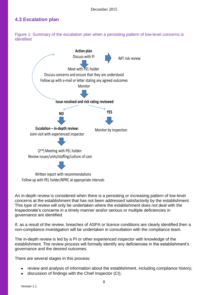#### **4.3 Escalation plan**

Figure 1: Summary of the escalation plan when a persisting pattern of low-level concerns is identified



Written report with recommendations Follow up with PEL holder/NPRC at appropriate intervals

An in-depth review is considered when there is a persisting or increasing pattern of low-level concerns at the establishment that has not been addressed satisfactorily by the establishment. This type of review will only be undertaken where the establishment does not deal with the Inspectorate's concerns in a timely manner and/or serious or multiple deficiencies in governance are identified.

If, as a result of the review, breaches of ASPA or licence conditions are clearly identified then a non-compliance investigation will be undertaken in consultation with the compliance team.

The in-depth review is led by a PI or other experienced inspector with knowledge of the establishment. The review process will formally identify any deficiencies in the establishment"s governance and the desired outcomes.

There are several stages in this process:

- review and analysis of information about the establishment, including compliance history;
- discussion of findings with the Chief Inspector (CI);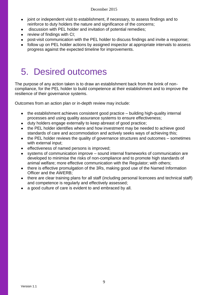#### December 2015

- joint or independent visit to establishment, if necessary, to assess findings and to  $\bullet$ reinforce to duty holders the nature and significance of the concerns;
- discussion with PEL holder and invitation of potential remedies;
- review of findings with CI;
- post-visit communication with the PEL holder to discuss findings and invite a response;
- follow up on PEL holder actions by assigned inspector at appropriate intervals to assess progress against the expected timeline for improvements.

# 5. Desired outcomes

The purpose of any action taken is to draw an establishment back from the brink of noncompliance, for the PEL holder to build competence at their establishment and to improve the resilience of their governance systems.

Outcomes from an action plan or in-depth review may include:

- the establishment achieves consistent good practice building high-quality internal  $\bullet$ processes and using quality assurance systems to ensure effectiveness;
- duty holders engage externally to keep abreast of good practice;  $\bullet$
- the PEL holder identifies where and how investment may be needed to achieve good standards of care and accommodation and actively seeks ways of achieving this;
- the PEL holder reviews the quality of governance structures and outcomes sometimes  $\bullet$ with external input;
- effectiveness of named persons is improved;  $\bullet$
- systems of communication improve sound internal frameworks of communication are developed to minimise the risks of non-compliance and to promote high standards of animal welfare; more effective communication with the Regulator; with others;
- there is effective promulgation of the 3Rs, making good use of the Named Information Officer and the AWERB;
- there are clear training plans for all staff (including personal licencees and technical staff)  $\bullet$ and competence is regularly and effectively assessed;
- a good culture of care is evident to and embraced by all.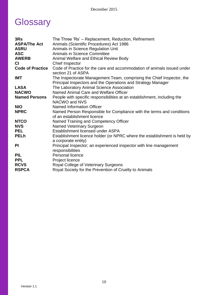# **Glossary**

| 3Rs<br><b>ASPA/The Act</b><br><b>ASRU</b><br><b>ASC</b><br><b>AWERB</b><br><b>CI</b> | The Three 'Rs' – Replacement, Reduction, Refinement<br>Animals (Scientific Procedures) Act 1986<br>Animals in Science Regulation Unit<br>Animals in Science Committee<br>Animal Welfare and Ethical Review Body<br>Chief Inspector |
|--------------------------------------------------------------------------------------|------------------------------------------------------------------------------------------------------------------------------------------------------------------------------------------------------------------------------------|
| <b>Code of Practice</b>                                                              | Code of Practice for the care and accommodation of animals issued under<br>section 21 of ASPA                                                                                                                                      |
| <b>IMT</b>                                                                           | The Inspectorate Management Team, comprising the Chief Inspector, the<br>Principal Inspectors and the Operations and Strategy Manager                                                                                              |
| <b>LASA</b>                                                                          | The Laboratory Animal Science Association                                                                                                                                                                                          |
| <b>NACWO</b>                                                                         | Named Animal Care and Welfare Officer                                                                                                                                                                                              |
| <b>Named Persons</b>                                                                 | People with specific responsibilities at an establishment, including the<br>NACWO and NVS                                                                                                                                          |
| <b>NIO</b>                                                                           | <b>Named Information Officer</b>                                                                                                                                                                                                   |
| <b>NPRC</b>                                                                          | Named Person Responsible for Compliance with the terms and conditions<br>of an establishment licence                                                                                                                               |
| <b>NTCO</b>                                                                          | Named Training and Competency Officer                                                                                                                                                                                              |
| <b>NVS</b>                                                                           | <b>Named Veterinary Surgeon</b>                                                                                                                                                                                                    |
| <b>PEL</b>                                                                           | Establishment licensed under ASPA                                                                                                                                                                                                  |
| <b>PELh</b>                                                                          | Establishment licence holder (or NPRC where the establishment is held by<br>a corporate entity)                                                                                                                                    |
| <b>PI</b>                                                                            | Principal Inspector; an experienced inspector with line management<br>responsibilities                                                                                                                                             |
| <b>PIL</b>                                                                           | Personal licence                                                                                                                                                                                                                   |
| <b>PPL</b>                                                                           | Project licence                                                                                                                                                                                                                    |
| <b>RCVS</b>                                                                          | Royal College of Veterinary Surgeons                                                                                                                                                                                               |
| <b>RSPCA</b>                                                                         | Royal Society for the Prevention of Cruelty to Animals                                                                                                                                                                             |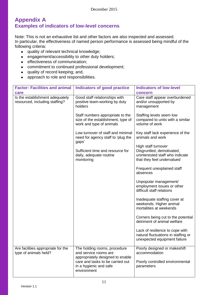#### **Appendix A Examples of indicators of low-level concerns**

Note: This is not an exhaustive list and other factors are also inspected and assessed. In particular, the effectiveness of named person performance is assessed being mindful of the following criteria:

- quality of relevant technical knowledge;
- engagement/accessibility to other duty holders;
- **e** effectiveness of communication;
- commitment to continued professional development;
- quality of record keeping; and,  $\bullet$
- approach to role and responsibilities.  $\bullet$

| <b>Factor: Facilities and animal</b><br>care                      | <b>Indicators of good practice</b>                                                                            | <b>Indicators of low-level</b><br>concern                                                                         |
|-------------------------------------------------------------------|---------------------------------------------------------------------------------------------------------------|-------------------------------------------------------------------------------------------------------------------|
| Is the establishment adequately<br>resourced, including staffing? | Good staff relationships with<br>positive team-working by duty<br>holders                                     | Care staff appear overburdened<br>and/or unsupported by<br>management                                             |
|                                                                   | Staff numbers appropriate to the<br>size of the establishment, type of<br>work and type of animals            | Staffing levels seem low<br>compared to units with a similar<br>volume of work                                    |
|                                                                   | Low turnover of staff and minimal<br>need for agency staff to 'plug the<br>gaps'                              | Key staff lack experience of the<br>animals and work                                                              |
|                                                                   | Sufficient time and resource for<br>daily, adequate routine<br>monitoring                                     | High staff turnover<br>Disgruntled, demotivated,<br>uninterested staff who indicate<br>that they feel undervalued |
|                                                                   |                                                                                                               | Frequent unexplained staff<br>absences                                                                            |
|                                                                   |                                                                                                               | Unpopular management/<br>employment issues or other<br>difficult staff relations                                  |
|                                                                   |                                                                                                               | Inadequate staffing cover at<br>weekends. Higher animal<br>mortalities at weekends                                |
|                                                                   |                                                                                                               | Corners being cut to the potential<br>detriment of animal welfare                                                 |
|                                                                   |                                                                                                               | Lack of resilience to cope with<br>natural fluctuations in staffing or<br>unexpected equipment failure            |
| Are facilities appropriate for the<br>type of animals held?       | The holding rooms, procedure<br>and service rooms are                                                         | Poorly designed or makeshift<br>accommodation                                                                     |
|                                                                   | appropriately designed to enable<br>care and tasks to be carried out<br>in a hygienic and safe<br>environment | Poorly controlled environmental<br>parameters                                                                     |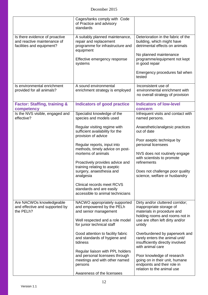|                                                                                            | Cages/tanks comply with Code<br>of Practice and advisory<br>standards                                          |                                                                                                                              |
|--------------------------------------------------------------------------------------------|----------------------------------------------------------------------------------------------------------------|------------------------------------------------------------------------------------------------------------------------------|
| Is there evidence of proactive<br>and reactive maintenance of<br>facilities and equipment? | A suitably planned maintenance,<br>repair and replacement<br>programme for infrastructure and<br>equipment     | Deterioration in the fabric of the<br>building, which might have<br>detrimental effects on animals<br>No planned maintenance |
|                                                                                            | Effective emergency response<br>systems                                                                        | programme/equipment not kept<br>in good repair                                                                               |
|                                                                                            |                                                                                                                | Emergency procedures fail when<br>tested                                                                                     |
| Is environmental enrichment<br>provided for all animals?                                   | A sound environmental<br>enrichment strategy is employed                                                       | Inconsistent use of<br>environmental enrichment with<br>no overall strategy of provision                                     |
| <b>Factor: Staffing, training &amp;</b><br>competency                                      | <b>Indicators of good practice</b>                                                                             | <b>Indicators of low-level</b><br>concern                                                                                    |
| Is the NVS visible, engaged and<br>effective?                                              | Specialist knowledge of the<br>species and models used                                                         | Infrequent visits and contact with<br>named persons.                                                                         |
|                                                                                            | Regular visiting regime with<br>sufficient availability for the<br>provision of advice                         | Anaesthetic/analgesic practices<br>out of date                                                                               |
|                                                                                            | Regular reports, input into<br>methods, timely advice on post-                                                 | Poor aseptic technique by<br>personal licensees                                                                              |
|                                                                                            | mortems of animals<br>Proactively provides advice and                                                          | NVS does not routinely engage<br>with scientists to promote<br>refinements                                                   |
|                                                                                            | training relating to aseptic<br>surgery, anaesthesia and<br>analgesia                                          | Does not challenge poor quality<br>science, welfare or husbandry                                                             |
|                                                                                            | Clinical records meet RCVS<br>standards and are easily<br>accessible to animal technicians                     |                                                                                                                              |
| Are NACWOs knowledgeable<br>and effective and supported by<br>the PELh?                    | NACWO appropriately supported<br>and empowered by the PELh<br>and senior management                            | Dirty and/or cluttered corridor;<br>inappropriate storage of<br>materials in procedure and<br>holding rooms and rooms not in |
|                                                                                            | Well respected and a role model<br>for junior technical staff                                                  | use are often left dirty and/or<br>untidy                                                                                    |
|                                                                                            | Good attention to facility fabric<br>and standards of hygiene and<br>tidiness                                  | Overburdened by paperwork and<br>rarely enters the animal unit/<br>insufficiently directly involved<br>with animal care      |
|                                                                                            | Regular liaison with PPL holders<br>and personal licensees through<br>meetings and with other named<br>persons | Poor knowledge of research<br>going on in their unit, humane<br>endpoints and their role in<br>relation to the animal use    |
|                                                                                            | Awareness of the licensees                                                                                     |                                                                                                                              |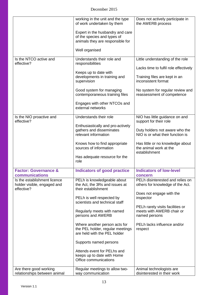| December 2015 |  |
|---------------|--|
|               |  |

|                                                                           | working in the unit and the type<br>of work undertaken by them                                      | Does not actively participate in<br>the AWERB process                          |
|---------------------------------------------------------------------------|-----------------------------------------------------------------------------------------------------|--------------------------------------------------------------------------------|
|                                                                           | Expert in the husbandry and care<br>of the species and types of<br>animals they are responsible for |                                                                                |
|                                                                           | Well organised                                                                                      |                                                                                |
| Is the NTCO active and<br>effective?                                      | Understands their role and<br>responsibilities                                                      | Little understanding of the role<br>Lacks time to fulfil role effectively      |
|                                                                           | Keeps up to date with<br>developments in training and<br>supervision                                | Training files are kept in an<br>inconsistent format                           |
|                                                                           | Good system for managing<br>contemporaneous training files                                          | No system for regular review and<br>reassessment of competence                 |
|                                                                           | Engages with other NTCOs and<br>external networks                                                   |                                                                                |
| Is the NIO proactive and<br>effective?                                    | Understands their role                                                                              | NIO has little guidance on and<br>support for their role                       |
|                                                                           | Enthusiastically and pro-actively<br>gathers and disseminates<br>relevant information               | Duty holders not aware who the<br>NIO is or what their function is             |
|                                                                           | Knows how to find appropriate<br>sources of information                                             | Has little or no knowledge about<br>the animal work at the<br>establishment    |
|                                                                           | Has adequate resource for the<br>role                                                               |                                                                                |
| <b>Factor: Governance &amp;</b><br>communications                         | <b>Indicators of good practice</b>                                                                  | <b>Indicators of low-level</b><br>concern                                      |
| Is the establishment licence<br>holder visible, engaged and<br>effective? | PELh is knowledgeable about<br>the Act, the 3Rs and issues at<br>their establishment                | PELh disinterested and relies on<br>others for knowledge of the Act.           |
|                                                                           | PELh is well respected by<br>scientists and technical staff                                         | Does not engage with the<br>inspector                                          |
|                                                                           | Regularly meets with named<br>persons and AWERB                                                     | PELh rarely visits facilities or<br>meets with AWERB chair or<br>named persons |
|                                                                           | Where another person acts for<br>the PEL holder, regular meetings<br>are held with the PEL holder   | PELh lacks influence and/or<br>respect                                         |
|                                                                           | Supports named persons                                                                              |                                                                                |
|                                                                           | Attends event for PELhs and<br>keeps up to date with Home<br>Office communications                  |                                                                                |
| Are there good working<br>relationships between animal                    | Regular meetings to allow two-<br>way communication                                                 | Animal technologists are<br>disinterested in their work                        |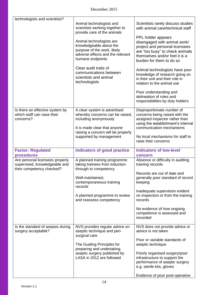| technologists and scientists?                                                                 |                                                                                                                                            |                                                                                                                                                                                       |
|-----------------------------------------------------------------------------------------------|--------------------------------------------------------------------------------------------------------------------------------------------|---------------------------------------------------------------------------------------------------------------------------------------------------------------------------------------|
|                                                                                               | Animal technologists and<br>scientists working together to<br>provide care of the animals                                                  | Scientists rarely discuss studies<br>with animal care/technical staff                                                                                                                 |
|                                                                                               | Animal technologists are<br>knowledgeable about the<br>purpose of the work, likely<br>adverse effects and the relevant<br>humane endpoints | PPL holder appears<br>disengaged with animal work/<br>project and personal licensees<br>are "too busy" to check animals<br>themselves and/or feel it is a<br>burden for them to do so |
|                                                                                               | Clear audit trails of<br>communications between<br>scientists and animal<br>technologists                                                  | Animal technologists have poor<br>knowledge of research going on<br>in their unit and their role in<br>relation to the animal use                                                     |
|                                                                                               |                                                                                                                                            | Poor understanding and<br>delineation of roles and<br>responsibilities by duty holders                                                                                                |
| Is there an effective system by<br>which staff can raise their<br>concerns?                   | A clear system is advertised<br>whereby concerns can be raised,<br>including anonymously                                                   | Disproportionate number of<br>concerns being raised with the<br>assigned inspector rather than<br>using the establishment's internal                                                  |
|                                                                                               | It is made clear that anyone<br>raising a concern will be properly<br>supported by management                                              | communication mechanisms<br>No local mechanisms for staff to<br>raise their concerns                                                                                                  |
| <b>Factor: Regulated</b><br>procedures                                                        | <b>Indicators of good practice</b>                                                                                                         | <b>Indicators of low-level</b><br>concern                                                                                                                                             |
| Are personal licensees properly<br>supervised, knowledgeable and<br>their competency checked? | A planned training programme<br>taking trainees from induction<br>through to competency<br>Well-maintained,                                | Absence or difficulty in auditing<br>training records<br>Records are out of date and<br>generally poor standard of record                                                             |
|                                                                                               | contemporaneous training<br>records                                                                                                        | keeping                                                                                                                                                                               |
|                                                                                               | A planned programme to review<br>and reassess competency                                                                                   | Inadequate supervision evident<br>on inspection or from the training<br>records                                                                                                       |
|                                                                                               |                                                                                                                                            | No evidence of how ongoing<br>competence is assessed and<br>recorded                                                                                                                  |
| Is the standard of asepsis during<br>surgery acceptable?                                      | NVS provides regular advice on<br>aseptic technique and peri-<br>surgical care                                                             | NVS does not provide advice or<br>advice is not taken                                                                                                                                 |
|                                                                                               | The Guiding Principles for                                                                                                                 | Poor or variable standards of<br>aseptic technique                                                                                                                                    |
|                                                                                               | preparing and undertaking<br>aseptic surgery published by<br>LASA in 2012 are followed                                                     | Poorly organised surgery/poor<br>infrastructure to support the<br>performance of aseptic surgery<br>e.g. sterile kits, gloves                                                         |
|                                                                                               |                                                                                                                                            | Evidence of poor post-operative                                                                                                                                                       |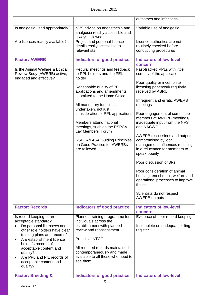|                                                                                                                                                                                                                                                                                                            |                                                                                                                                                                                                                                                                                                                                                                                                                                  | outcomes and infections                                                                                                                                                                                                                                                                                                                                                                                                                                                                                                                                                                          |
|------------------------------------------------------------------------------------------------------------------------------------------------------------------------------------------------------------------------------------------------------------------------------------------------------------|----------------------------------------------------------------------------------------------------------------------------------------------------------------------------------------------------------------------------------------------------------------------------------------------------------------------------------------------------------------------------------------------------------------------------------|--------------------------------------------------------------------------------------------------------------------------------------------------------------------------------------------------------------------------------------------------------------------------------------------------------------------------------------------------------------------------------------------------------------------------------------------------------------------------------------------------------------------------------------------------------------------------------------------------|
| Is analgesia used appropriately?                                                                                                                                                                                                                                                                           | NVS advice on anaesthesia and<br>analgesia readily accessible and<br>always followed                                                                                                                                                                                                                                                                                                                                             | Variable use of analgesia                                                                                                                                                                                                                                                                                                                                                                                                                                                                                                                                                                        |
| Are licences readily available?                                                                                                                                                                                                                                                                            | Project and personal licence<br>details easily accessible to<br>relevant staff                                                                                                                                                                                                                                                                                                                                                   | Licence authorities are not<br>routinely checked before<br>conducting procedures                                                                                                                                                                                                                                                                                                                                                                                                                                                                                                                 |
| <b>Factor: AWERB</b>                                                                                                                                                                                                                                                                                       | <b>Indicators of good practice</b>                                                                                                                                                                                                                                                                                                                                                                                               | <b>Indicators of low-level</b><br>concern                                                                                                                                                                                                                                                                                                                                                                                                                                                                                                                                                        |
| Is the Animal Welfare & Ethical<br>Review Body (AWERB) active,<br>engaged and effective?                                                                                                                                                                                                                   | Regular meetings and feedback<br>to PPL holders and the PEL<br>holder<br>Reasonable quality of PPL<br>applications and amendments<br>submitted to the Home Office<br>All mandatory functions<br>undertaken, not just<br>consideration of PPL applications<br>Members attend national<br>meetings, such as the RSPCA<br>Lay Members' Forum<br><b>RSPCA/LASA Guiding Principles</b><br>on Good Practice for AWERBs<br>are followed | Fast-tracked PPLs with little<br>scrutiny of the application<br>Poor-quality or incomplete<br>licensing paperwork regularly<br>received by ASRU<br>Infrequent and erratic AWERB<br>meetings<br>Poor engagement of committee<br>members at AWERB meetings/<br>inadequate input from the NVS<br>and NACWO<br>AWERB discussions and outputs<br>compromised by local<br>management influences resulting<br>in a reluctance for members to<br>speak openly<br>Poor discussion of 3Rs<br>Poor consideration of animal<br>housing, enrichment, welfare and<br>operational processes to improve<br>these |
|                                                                                                                                                                                                                                                                                                            |                                                                                                                                                                                                                                                                                                                                                                                                                                  | Scientists do not respect<br><b>AWERB</b> outputs                                                                                                                                                                                                                                                                                                                                                                                                                                                                                                                                                |
| <b>Factor: Records</b>                                                                                                                                                                                                                                                                                     | <b>Indicators of good practice</b>                                                                                                                                                                                                                                                                                                                                                                                               | <b>Indicators of low-level</b><br>concern                                                                                                                                                                                                                                                                                                                                                                                                                                                                                                                                                        |
| Is record keeping of an<br>acceptable standard?<br>Do personal licensees and<br>other role holders have clear<br>training plans and records?<br>Are establishment licence<br>holder's records of<br>acceptable content and<br>quality?<br>Are PPL and PIL records of<br>acceptable content and<br>quality? | Planned training programme for<br>individuals across the<br>establishment with planned<br>review and reassessment<br><b>Proactive NTCO</b><br>All required records maintained<br>contemporaneously and made<br>available to all those who need to<br>see them                                                                                                                                                                    | Evidence of poor record keeping<br>Incomplete or inadequate killing<br>register                                                                                                                                                                                                                                                                                                                                                                                                                                                                                                                  |
| <b>Factor: Breeding &amp;</b>                                                                                                                                                                                                                                                                              | <b>Indicators of good practice</b>                                                                                                                                                                                                                                                                                                                                                                                               | <b>Indicators of low-level</b>                                                                                                                                                                                                                                                                                                                                                                                                                                                                                                                                                                   |